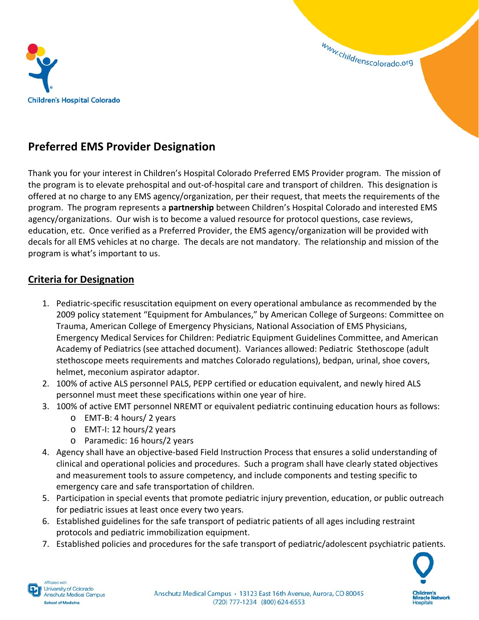

www.childrenscolorado.org

## **Preferred EMS Provider Designation**

Thank you for your interest in Children's Hospital Colorado Preferred EMS Provider program. The mission of the program is to elevate prehospital and out‐of‐hospital care and transport of children. This designation is offered at no charge to any EMS agency/organization, per their request, that meets the requirements of the program. The program represents a **partnership** between Children's Hospital Colorado and interested EMS agency/organizations. Our wish is to become a valued resource for protocol questions, case reviews, education, etc. Once verified as a Preferred Provider, the EMS agency/organization will be provided with decals for all EMS vehicles at no charge. The decals are not mandatory. The relationship and mission of the program is what's important to us.

#### **Criteria for Designation**

- 1. Pediatric‐specific resuscitation equipment on every operational ambulance as recommended by the 2009 policy statement "Equipment for Ambulances," by American College of Surgeons: Committee on Trauma, American College of Emergency Physicians, National Association of EMS Physicians, Emergency Medical Services for Children: Pediatric Equipment Guidelines Committee, and American Academy of Pediatrics (see attached document). Variances allowed: Pediatric Stethoscope (adult stethoscope meets requirements and matches Colorado regulations), bedpan, urinal, shoe covers, helmet, meconium aspirator adaptor.
- 2. 100% of active ALS personnel PALS, PEPP certified or education equivalent, and newly hired ALS personnel must meet these specifications within one year of hire.
- 3. 100% of active EMT personnel NREMT or equivalent pediatric continuing education hours as follows:
	- o EMT‐B: 4 hours/ 2 years
	- o EMT‐I: 12 hours/2 years
	- o Paramedic: 16 hours/2 years
- 4. Agency shall have an objective‐based Field Instruction Process that ensures a solid understanding of clinical and operational policies and procedures. Such a program shall have clearly stated objectives and measurement tools to assure competency, and include components and testing specific to emergency care and safe transportation of children.
- 5. Participation in special events that promote pediatric injury prevention, education, or public outreach for pediatric issues at least once every two years.
- 6. Established guidelines for the safe transport of pediatric patients of all ages including restraint protocols and pediatric immobilization equipment.
- 7. Established policies and procedures for the safe transport of pediatric/adolescent psychiatric patients.



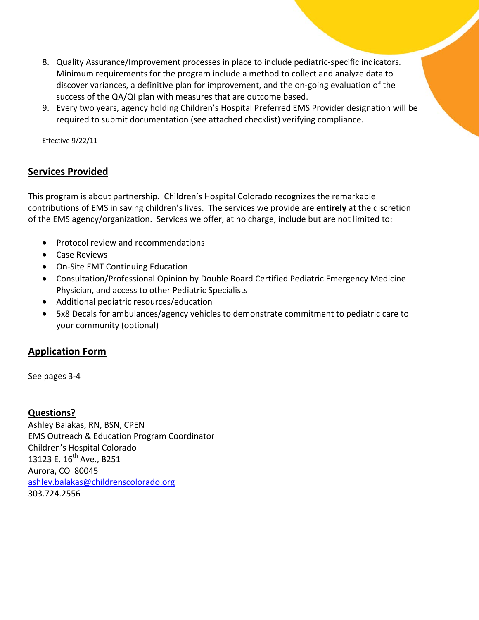- 8. Quality Assurance/Improvement processes in place to include pediatric-specific indicators. Minimum requirements for the program include a method to collect and analyze data to discover variances, a definitive plan for improvement, and the on‐going evaluation of the success of the QA/QI plan with measures that are outcome based.
- 9. Every two years, agency holding Children's Hospital Preferred EMS Provider designation will be required to submit documentation (see attached checklist) verifying compliance.

Effective 9/22/11

### **Services Provided**

This program is about partnership. Children's Hospital Colorado recognizes the remarkable contributions of EMS in saving children's lives. The services we provide are **entirely** at the discretion of the EMS agency/organization. Services we offer, at no charge, include but are not limited to:

- Protocol review and recommendations
- Case Reviews
- On-Site EMT Continuing Education
- Consultation/Professional Opinion by Double Board Certified Pediatric Emergency Medicine Physician, and access to other Pediatric Specialists
- Additional pediatric resources/education
- 5x8 Decals for ambulances/agency vehicles to demonstrate commitment to pediatric care to your community (optional)

#### **Application Form**

See pages 3‐4

#### **Questions?**

Ashley Balakas, RN, BSN, CPEN EMS Outreach & Education Program Coordinator Children's Hospital Colorado 13123 E. 16<sup>th</sup> Ave., B251 Aurora, CO 80045 ashley.balakas@childrenscolorado.org 303.724.2556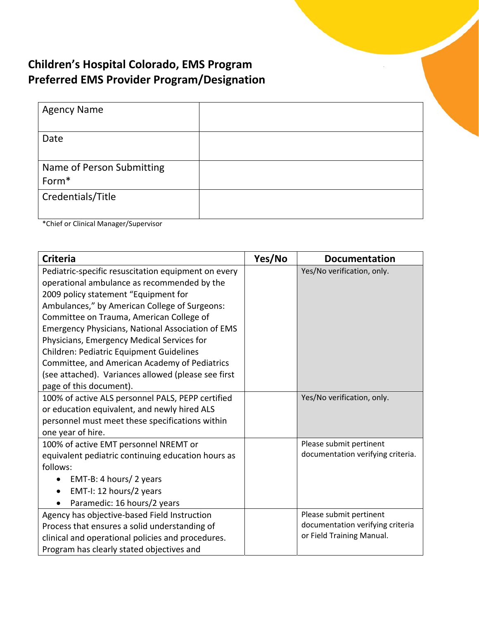# **Children's Hospital Colorado, EMS Program Preferred EMS Provider Program/Designation**

| <b>Agency Name</b>                             |  |
|------------------------------------------------|--|
| Date                                           |  |
| Name of Person Submitting<br>Form <sup>*</sup> |  |
| Credentials/Title                              |  |

\*Chief or Clinical Manager/Supervisor

| <b>Criteria</b>                                          | Yes/No | <b>Documentation</b>              |
|----------------------------------------------------------|--------|-----------------------------------|
| Pediatric-specific resuscitation equipment on every      |        | Yes/No verification, only.        |
| operational ambulance as recommended by the              |        |                                   |
| 2009 policy statement "Equipment for                     |        |                                   |
| Ambulances," by American College of Surgeons:            |        |                                   |
| Committee on Trauma, American College of                 |        |                                   |
| <b>Emergency Physicians, National Association of EMS</b> |        |                                   |
| Physicians, Emergency Medical Services for               |        |                                   |
| Children: Pediatric Equipment Guidelines                 |        |                                   |
| Committee, and American Academy of Pediatrics            |        |                                   |
| (see attached). Variances allowed (please see first      |        |                                   |
| page of this document).                                  |        |                                   |
| 100% of active ALS personnel PALS, PEPP certified        |        | Yes/No verification, only.        |
| or education equivalent, and newly hired ALS             |        |                                   |
| personnel must meet these specifications within          |        |                                   |
| one year of hire.                                        |        |                                   |
| 100% of active EMT personnel NREMT or                    |        | Please submit pertinent           |
| equivalent pediatric continuing education hours as       |        | documentation verifying criteria. |
| follows:                                                 |        |                                   |
| EMT-B: 4 hours/ 2 years                                  |        |                                   |
| EMT-I: 12 hours/2 years                                  |        |                                   |
| Paramedic: 16 hours/2 years                              |        |                                   |
| Agency has objective-based Field Instruction             |        | Please submit pertinent           |
| Process that ensures a solid understanding of            |        | documentation verifying criteria  |
| clinical and operational policies and procedures.        |        | or Field Training Manual.         |
| Program has clearly stated objectives and                |        |                                   |